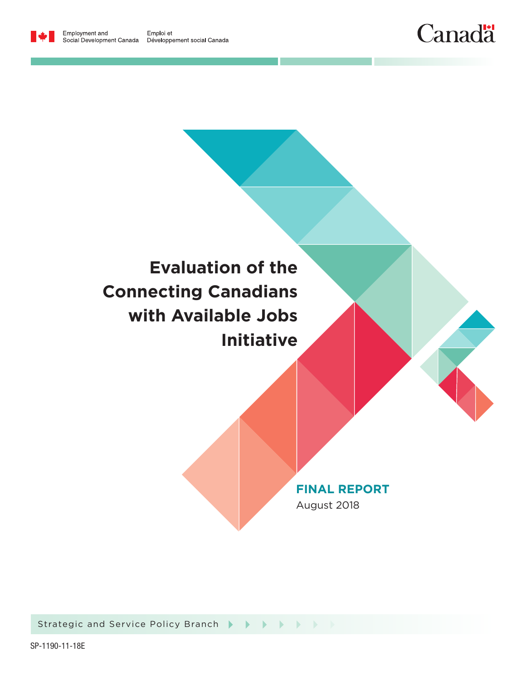





Strategic and Service Policy Branch Strategic and Service Policy Branch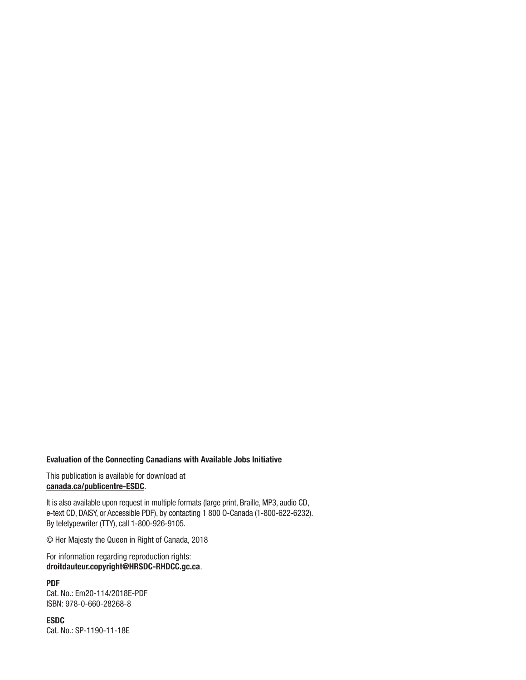#### Evaluation of the Connecting Canadians with Available Jobs Initiative

This publication is available for download at [canada.ca/publicentre-ESDC](www.canada.ca/publicentre-ESDC).

It is also available upon request in multiple formats (large print, Braille, MP3, audio CD, e-text CD, DAISY, or Accessible PDF), by contacting 1 800 O-Canada (1-800-622-6232). By teletypewriter (TTY), call 1-800-926-9105.

© Her Majesty the Queen in Right of Canada, 2018

For information regarding reproduction rights: droitdauteur.copyright@HRSDC-RHDCC.gc.ca.

PDF Cat. No.: Em20-114/2018E-PDF ISBN: 978-0-660-28268-8

ESDC Cat. No.: SP-1190-11-18E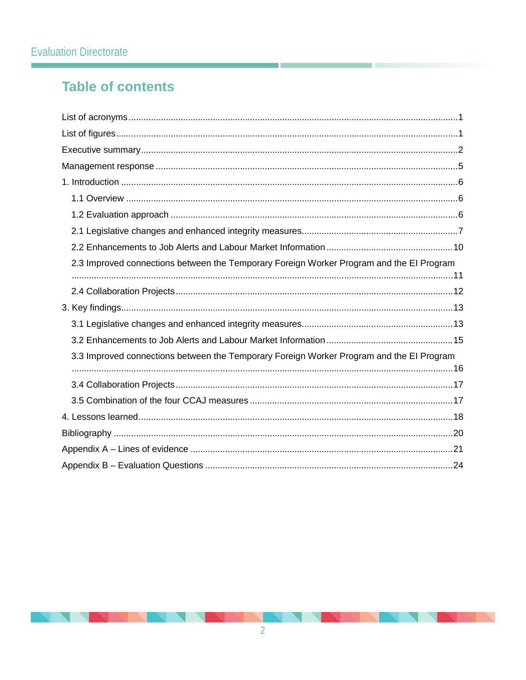# **Table of contents**

| 2.3 Improved connections between the Temporary Foreign Worker Program and the El Program |
|------------------------------------------------------------------------------------------|
|                                                                                          |
|                                                                                          |
|                                                                                          |
|                                                                                          |
| 3.3 Improved connections between the Temporary Foreign Worker Program and the EI Program |
|                                                                                          |
|                                                                                          |
|                                                                                          |
|                                                                                          |
|                                                                                          |
|                                                                                          |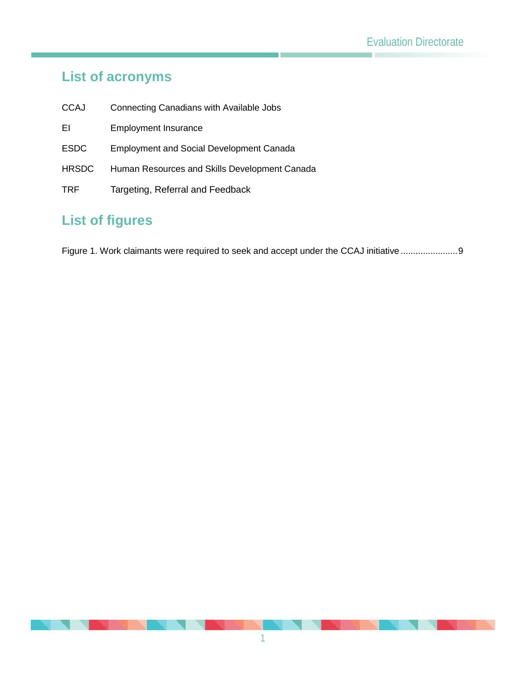# <span id="page-3-0"></span>**List of acronyms**

- CCAJ Connecting Canadians with Available Jobs
- EI Employment Insurance
- ESDC Employment and Social Development Canada
- HRSDC Human Resources and Skills Development Canada
- TRF Targeting, Referral and Feedback

# <span id="page-3-1"></span>**List of figures**

[Figure 1. Work claimants were required to seek and accept under the CCAJ initiative](#page-10-0) ..........................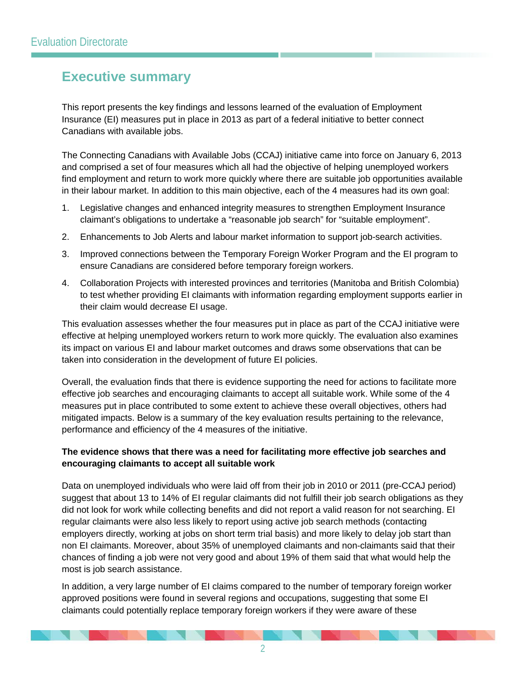## <span id="page-4-0"></span>**Executive summary**

This report presents the key findings and lessons learned of the evaluation of Employment Insurance (EI) measures put in place in 2013 as part of a federal initiative to better connect Canadians with available jobs.

The Connecting Canadians with Available Jobs (CCAJ) initiative came into force on January 6, 2013 and comprised a set of four measures which all had the objective of helping unemployed workers find employment and return to work more quickly where there are suitable job opportunities available in their labour market. In addition to this main objective, each of the 4 measures had its own goal:

- 1. Legislative changes and enhanced integrity measures to strengthen Employment Insurance claimant's obligations to undertake a "reasonable job search" for "suitable employment".
- 2. Enhancements to Job Alerts and labour market information to support job-search activities.
- 3. Improved connections between the Temporary Foreign Worker Program and the EI program to ensure Canadians are considered before temporary foreign workers.
- 4. Collaboration Projects with interested provinces and territories (Manitoba and British Colombia) to test whether providing EI claimants with information regarding employment supports earlier in their claim would decrease EI usage.

This evaluation assesses whether the four measures put in place as part of the CCAJ initiative were effective at helping unemployed workers return to work more quickly. The evaluation also examines its impact on various EI and labour market outcomes and draws some observations that can be taken into consideration in the development of future EI policies.

Overall, the evaluation finds that there is evidence supporting the need for actions to facilitate more effective job searches and encouraging claimants to accept all suitable work. While some of the 4 measures put in place contributed to some extent to achieve these overall objectives, others had mitigated impacts. Below is a summary of the key evaluation results pertaining to the relevance, performance and efficiency of the 4 measures of the initiative.

#### **The evidence shows that there was a need for facilitating more effective job searches and encouraging claimants to accept all suitable work**

Data on unemployed individuals who were laid off from their job in 2010 or 2011 (pre-CCAJ period) suggest that about 13 to 14% of EI regular claimants did not fulfill their job search obligations as they did not look for work while collecting benefits and did not report a valid reason for not searching. EI regular claimants were also less likely to report using active job search methods (contacting employers directly, working at jobs on short term trial basis) and more likely to delay job start than non EI claimants. Moreover, about 35% of unemployed claimants and non-claimants said that their chances of finding a job were not very good and about 19% of them said that what would help the most is job search assistance.

In addition, a very large number of EI claims compared to the number of temporary foreign worker approved positions were found in several regions and occupations, suggesting that some EI claimants could potentially replace temporary foreign workers if they were aware of these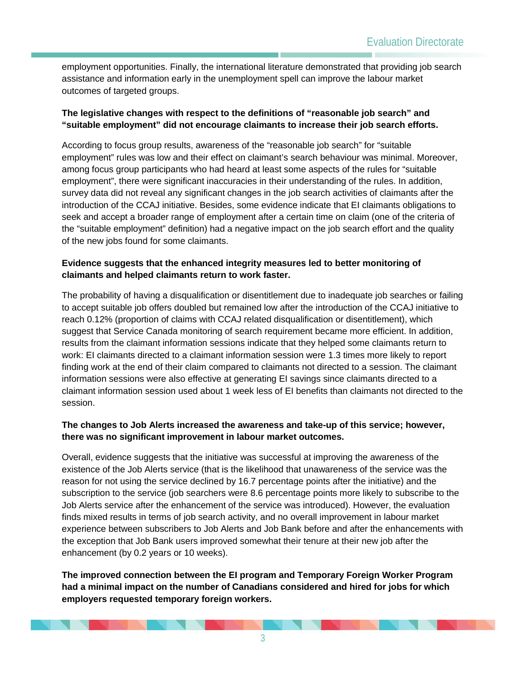employment opportunities. Finally, the international literature demonstrated that providing job search assistance and information early in the unemployment spell can improve the labour market outcomes of targeted groups.

#### **The legislative changes with respect to the definitions of "reasonable job search" and "suitable employment" did not encourage claimants to increase their job search efforts.**

According to focus group results, awareness of the "reasonable job search" for "suitable employment" rules was low and their effect on claimant's search behaviour was minimal. Moreover, among focus group participants who had heard at least some aspects of the rules for "suitable employment", there were significant inaccuracies in their understanding of the rules. In addition, survey data did not reveal any significant changes in the job search activities of claimants after the introduction of the CCAJ initiative. Besides, some evidence indicate that EI claimants obligations to seek and accept a broader range of employment after a certain time on claim (one of the criteria of the "suitable employment" definition) had a negative impact on the job search effort and the quality of the new jobs found for some claimants.

#### **Evidence suggests that the enhanced integrity measures led to better monitoring of claimants and helped claimants return to work faster.**

The probability of having a disqualification or disentitlement due to inadequate job searches or failing to accept suitable job offers doubled but remained low after the introduction of the CCAJ initiative to reach 0.12% (proportion of claims with CCAJ related disqualification or disentitlement), which suggest that Service Canada monitoring of search requirement became more efficient. In addition, results from the claimant information sessions indicate that they helped some claimants return to work: EI claimants directed to a claimant information session were 1.3 times more likely to report finding work at the end of their claim compared to claimants not directed to a session. The claimant information sessions were also effective at generating EI savings since claimants directed to a claimant information session used about 1 week less of EI benefits than claimants not directed to the session.

#### **The changes to Job Alerts increased the awareness and take-up of this service; however, there was no significant improvement in labour market outcomes.**

Overall, evidence suggests that the initiative was successful at improving the awareness of the existence of the Job Alerts service (that is the likelihood that unawareness of the service was the reason for not using the service declined by 16.7 percentage points after the initiative) and the subscription to the service (job searchers were 8.6 percentage points more likely to subscribe to the Job Alerts service after the enhancement of the service was introduced). However, the evaluation finds mixed results in terms of job search activity, and no overall improvement in labour market experience between subscribers to Job Alerts and Job Bank before and after the enhancements with the exception that Job Bank users improved somewhat their tenure at their new job after the enhancement (by 0.2 years or 10 weeks).

**The improved connection between the EI program and Temporary Foreign Worker Program had a minimal impact on the number of Canadians considered and hired for jobs for which employers requested temporary foreign workers.**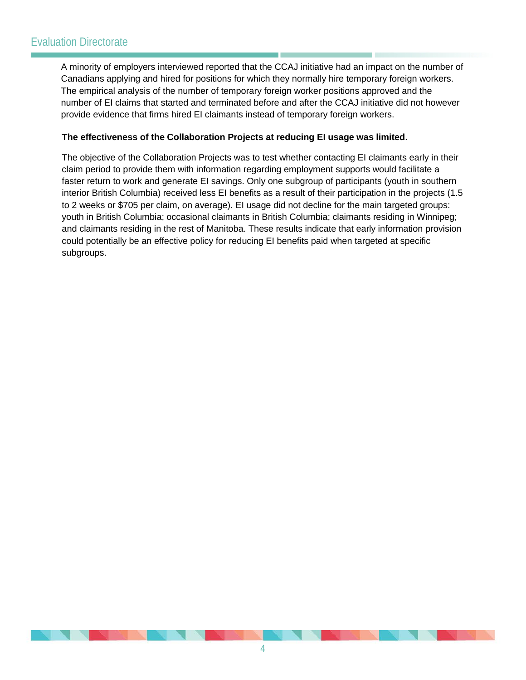## Evaluation Directorate

A minority of employers interviewed reported that the CCAJ initiative had an impact on the number of Canadians applying and hired for positions for which they normally hire temporary foreign workers. The empirical analysis of the number of temporary foreign worker positions approved and the number of EI claims that started and terminated before and after the CCAJ initiative did not however provide evidence that firms hired EI claimants instead of temporary foreign workers.

#### **The effectiveness of the Collaboration Projects at reducing EI usage was limited.**

The objective of the Collaboration Projects was to test whether contacting EI claimants early in their claim period to provide them with information regarding employment supports would facilitate a faster return to work and generate EI savings. Only one subgroup of participants (youth in southern interior British Columbia) received less EI benefits as a result of their participation in the projects (1.5 to 2 weeks or \$705 per claim, on average). EI usage did not decline for the main targeted groups: youth in British Columbia; occasional claimants in British Columbia; claimants residing in Winnipeg; and claimants residing in the rest of Manitoba. These results indicate that early information provision could potentially be an effective policy for reducing EI benefits paid when targeted at specific subgroups.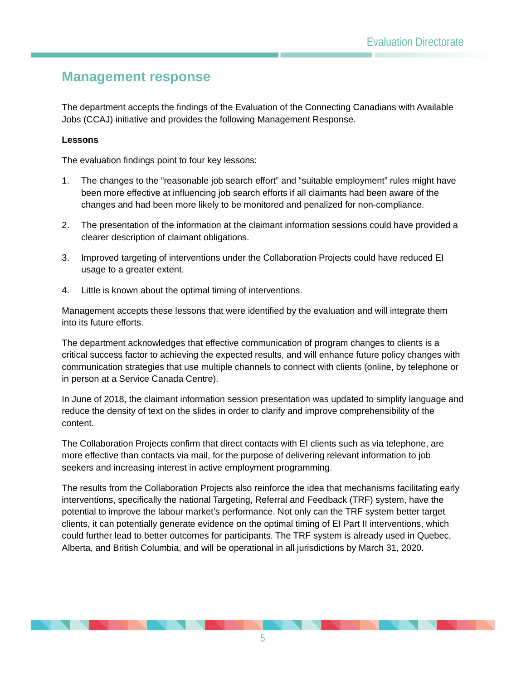## <span id="page-7-0"></span>**Management response**

The department accepts the findings of the Evaluation of the Connecting Canadians with Available Jobs (CCAJ) initiative and provides the following Management Response.

#### **Lessons**

The evaluation findings point to four key lessons:

- 1. The changes to the "reasonable job search effort" and "suitable employment" rules might have been more effective at influencing job search efforts if all claimants had been aware of the changes and had been more likely to be monitored and penalized for non-compliance.
- 2. The presentation of the information at the claimant information sessions could have provided a clearer description of claimant obligations.
- 3. Improved targeting of interventions under the Collaboration Projects could have reduced EI usage to a greater extent.
- 4. Little is known about the optimal timing of interventions.

Management accepts these lessons that were identified by the evaluation and will integrate them into its future efforts.

The department acknowledges that effective communication of program changes to clients is a critical success factor to achieving the expected results, and will enhance future policy changes with communication strategies that use multiple channels to connect with clients (online, by telephone or in person at a Service Canada Centre).

In June of 2018, the claimant information session presentation was updated to simplify language and reduce the density of text on the slides in order to clarify and improve comprehensibility of the content.

The Collaboration Projects confirm that direct contacts with EI clients such as via telephone, are more effective than contacts via mail, for the purpose of delivering relevant information to job seekers and increasing interest in active employment programming.

The results from the Collaboration Projects also reinforce the idea that mechanisms facilitating early interventions, specifically the national Targeting, Referral and Feedback (TRF) system, have the potential to improve the labour market's performance. Not only can the TRF system better target clients, it can potentially generate evidence on the optimal timing of EI Part II interventions, which could further lead to better outcomes for participants. The TRF system is already used in Quebec, Alberta, and British Columbia, and will be operational in all jurisdictions by March 31, 2020.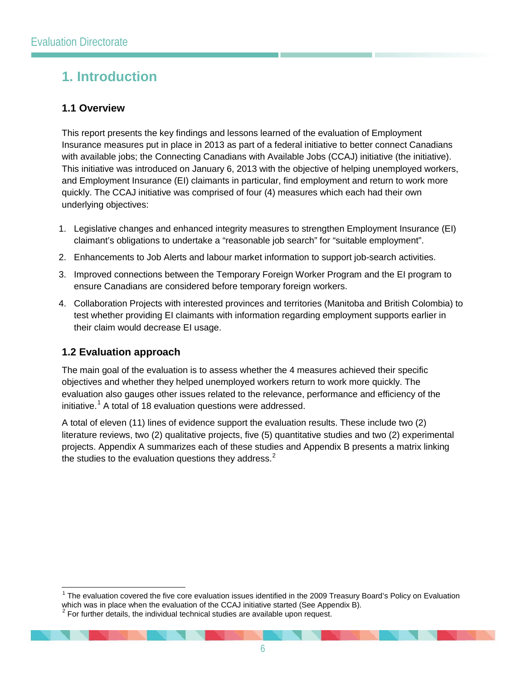# <span id="page-8-0"></span>**1. Introduction**

## <span id="page-8-1"></span>**1.1 Overview**

This report presents the key findings and lessons learned of the evaluation of Employment Insurance measures put in place in 2013 as part of a federal initiative to better connect Canadians with available jobs; the Connecting Canadians with Available Jobs (CCAJ) initiative (the initiative). This initiative was introduced on January 6, 2013 with the objective of helping unemployed workers, and Employment Insurance (EI) claimants in particular, find employment and return to work more quickly. The CCAJ initiative was comprised of four (4) measures which each had their own underlying objectives:

- 1. Legislative changes and enhanced integrity measures to strengthen Employment Insurance (EI) claimant's obligations to undertake a "reasonable job search" for "suitable employment".
- 2. Enhancements to Job Alerts and labour market information to support job-search activities.
- 3. Improved connections between the Temporary Foreign Worker Program and the EI program to ensure Canadians are considered before temporary foreign workers.
- 4. Collaboration Projects with interested provinces and territories (Manitoba and British Colombia) to test whether providing EI claimants with information regarding employment supports earlier in their claim would decrease EI usage.

## <span id="page-8-2"></span>**1.2 Evaluation approach**

The main goal of the evaluation is to assess whether the 4 measures achieved their specific objectives and whether they helped unemployed workers return to work more quickly. The evaluation also gauges other issues related to the relevance, performance and efficiency of the initiative.<sup>[1](#page-8-3)</sup> A total of 18 evaluation questions were addressed.

A total of eleven (11) lines of evidence support the evaluation results. These include two (2) literature reviews, two (2) qualitative projects, five (5) quantitative studies and two (2) experimental projects. Appendix A summarizes each of these studies and Appendix B presents a matrix linking the studies to the evaluation questions they address. $<sup>2</sup>$  $<sup>2</sup>$  $<sup>2</sup>$ </sup>

<span id="page-8-3"></span> $1$  The evaluation covered the five core evaluation issues identified in the 2009 Treasury Board's Policy on Evaluation which was in place when the evaluation of the CCAJ initiative started (See Appendix B).

<span id="page-8-4"></span> $2$  For further details, the individual technical studies are available upon request.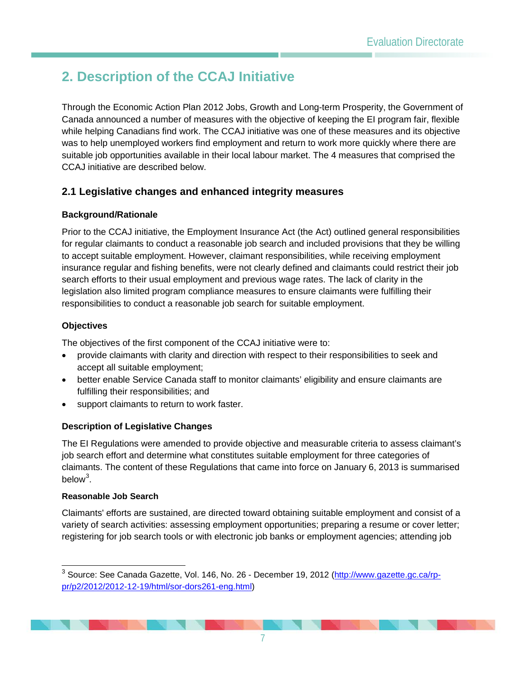# **2. Description of the CCAJ Initiative**

Through the Economic Action Plan 2012 Jobs, Growth and Long-term Prosperity, the Government of Canada announced a number of measures with the objective of keeping the EI program fair, flexible while helping Canadians find work. The CCAJ initiative was one of these measures and its objective was to help unemployed workers find employment and return to work more quickly where there are suitable job opportunities available in their local labour market. The 4 measures that comprised the CCAJ initiative are described below.

## <span id="page-9-0"></span>**2.1 Legislative changes and enhanced integrity measures**

#### **Background/Rationale**

Prior to the CCAJ initiative, the Employment Insurance Act (the Act) outlined general responsibilities for regular claimants to conduct a reasonable job search and included provisions that they be willing to accept suitable employment. However, claimant responsibilities, while receiving employment insurance regular and fishing benefits, were not clearly defined and claimants could restrict their job search efforts to their usual employment and previous wage rates. The lack of clarity in the legislation also limited program compliance measures to ensure claimants were fulfilling their responsibilities to conduct a reasonable job search for suitable employment.

#### **Objectives**

The objectives of the first component of the CCAJ initiative were to:

- provide claimants with clarity and direction with respect to their responsibilities to seek and accept all suitable employment;
- better enable Service Canada staff to monitor claimants' eligibility and ensure claimants are fulfilling their responsibilities; and
- support claimants to return to work faster.

#### **Description of Legislative Changes**

The EI Regulations were amended to provide objective and measurable criteria to assess claimant's job search effort and determine what constitutes suitable employment for three categories of claimants. The content of these Regulations that came into force on January 6, 2013 is summarised below<sup>[3](#page-9-1)</sup>.

#### **Reasonable Job Search**

Claimants' efforts are sustained, are directed toward obtaining suitable employment and consist of a variety of search activities: assessing employment opportunities; preparing a resume or cover letter; registering for job search tools or with electronic job banks or employment agencies; attending job

<span id="page-9-1"></span><sup>&</sup>lt;sup>3</sup> Source: See Canada Gazette, Vol. 146, No. 26 - December 19, 2012 [\(http://www.gazette.gc.ca/rp](http://www.gazette.gc.ca/rp-pr/p2/2012/2012-12-19/html/sor-dors261-eng.html)[pr/p2/2012/2012-12-19/html/sor-dors261-eng.html\)](http://www.gazette.gc.ca/rp-pr/p2/2012/2012-12-19/html/sor-dors261-eng.html)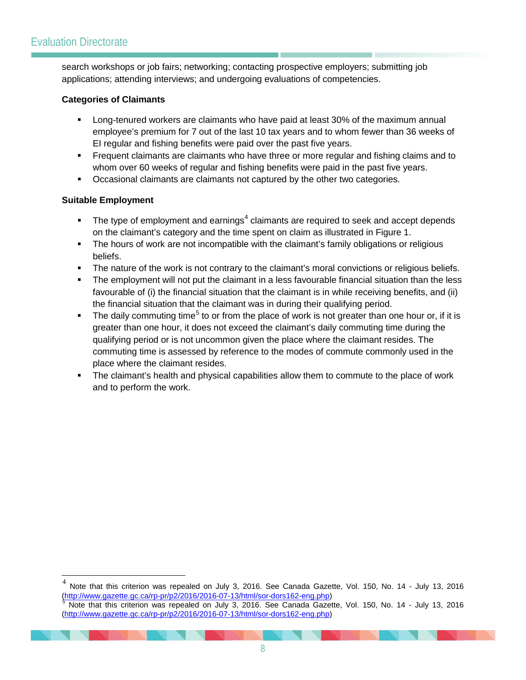search workshops or job fairs; networking; contacting prospective employers; submitting job applications; attending interviews; and undergoing evaluations of competencies.

#### **Categories of Claimants**

- Long-tenured workers are claimants who have paid at least 30% of the maximum annual employee's premium for 7 out of the last 10 tax years and to whom fewer than 36 weeks of EI regular and fishing benefits were paid over the past five years.
- Frequent claimants are claimants who have three or more regular and fishing claims and to whom over 60 weeks of regular and fishing benefits were paid in the past five years.
- **•** Occasional claimants are claimants not captured by the other two categories.

#### **Suitable Employment**

- The type of employment and earnings<sup>[4](#page-10-1)</sup> claimants are required to seek and accept depends on the claimant's category and the time spent on claim as illustrated in Figure 1.
- The hours of work are not incompatible with the claimant's family obligations or religious beliefs.
- The nature of the work is not contrary to the claimant's moral convictions or religious beliefs.
- The employment will not put the claimant in a less favourable financial situation than the less favourable of (i) the financial situation that the claimant is in while receiving benefits, and (ii) the financial situation that the claimant was in during their qualifying period.
- The daily commuting time<sup>[5](#page-10-2)</sup> to or from the place of work is not greater than one hour or, if it is greater than one hour, it does not exceed the claimant's daily commuting time during the qualifying period or is not uncommon given the place where the claimant resides. The commuting time is assessed by reference to the modes of commute commonly used in the place where the claimant resides.
- <span id="page-10-0"></span> The claimant's health and physical capabilities allow them to commute to the place of work and to perform the work.

<sup>&</sup>lt;sup>4</sup> Note that this criterion was repealed on July 3, 2016. See Canada Gazette, Vol. 150, No. 14 - July 13, 2016<br>  $\frac{(\text{http://www.gazette.gc.ca/rp-pr/p2/2016/2016-07-13/http://www.gazette.gc.ca/rp-pr/p2/2016/2016-07-13.html/sor-dors162-eng.php})$ Note that this criterion was repealed on July 3, 2016. See Canada Gazette, Vol. 150, No. 14 - July 13, 2016

<span id="page-10-2"></span><span id="page-10-1"></span>[<sup>\(</sup>http://www.gazette.gc.ca/rp-pr/p2/2016/2016-07-13/html/sor-dors162-eng.php\)](http://www.gazette.gc.ca/rp-pr/p2/2016/2016-07-13/html/sor-dors162-eng.php)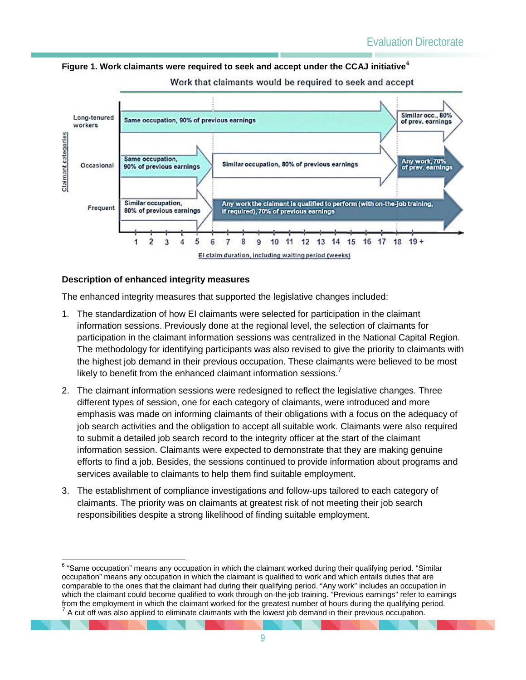**Figure 1. Work claimants were required to seek and accept under the CCAJ initiative[6](#page-11-0)**



Work that claimants would be required to seek and accept

#### **Description of enhanced integrity measures**

The enhanced integrity measures that supported the legislative changes included:

- 1. The standardization of how EI claimants were selected for participation in the claimant information sessions. Previously done at the regional level, the selection of claimants for participation in the claimant information sessions was centralized in the National Capital Region. The methodology for identifying participants was also revised to give the priority to claimants with the highest job demand in their previous occupation. These claimants were believed to be most likely to benefit from the enhanced claimant information sessions. $<sup>7</sup>$  $<sup>7</sup>$  $<sup>7</sup>$ </sup>
- 2. The claimant information sessions were redesigned to reflect the legislative changes. Three different types of session, one for each category of claimants, were introduced and more emphasis was made on informing claimants of their obligations with a focus on the adequacy of job search activities and the obligation to accept all suitable work. Claimants were also required to submit a detailed job search record to the integrity officer at the start of the claimant information session. Claimants were expected to demonstrate that they are making genuine efforts to find a job. Besides, the sessions continued to provide information about programs and services available to claimants to help them find suitable employment.
- 3. The establishment of compliance investigations and follow-ups tailored to each category of claimants. The priority was on claimants at greatest risk of not meeting their job search responsibilities despite a strong likelihood of finding suitable employment.

<span id="page-11-1"></span><span id="page-11-0"></span><sup>&</sup>lt;sup>6</sup> "Same occupation" means any occupation in which the claimant worked during their qualifying period. "Similar occupation" means any occupation in which the claimant is qualified to work and which entails duties that are comparable to the ones that the claimant had during their qualifying period. "Any work" includes an occupation in which the claimant could become qualified to work through on-the-job training. "Previous earnings" refer to earnings from the employment in which the claimant worked for the greatest number of hours during the qualifying period.<br><sup>7</sup> A cut off was also applied to eliminate claimants with the lowest job demand in their previous occupation.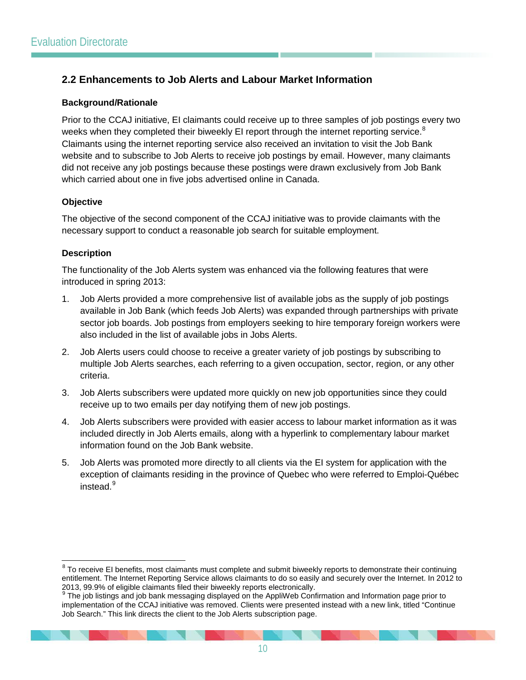## <span id="page-12-0"></span>**2.2 Enhancements to Job Alerts and Labour Market Information**

#### **Background/Rationale**

Prior to the CCAJ initiative, EI claimants could receive up to three samples of job postings every two weeks when they completed their biweekly EI report through the internet reporting service.<sup>[8](#page-12-1)</sup> Claimants using the internet reporting service also received an invitation to visit the Job Bank website and to subscribe to Job Alerts to receive job postings by email. However, many claimants did not receive any job postings because these postings were drawn exclusively from Job Bank which carried about one in five jobs advertised online in Canada.

#### **Objective**

The objective of the second component of the CCAJ initiative was to provide claimants with the necessary support to conduct a reasonable job search for suitable employment.

#### **Description**

The functionality of the Job Alerts system was enhanced via the following features that were introduced in spring 2013:

- 1. Job Alerts provided a more comprehensive list of available jobs as the supply of job postings available in Job Bank (which feeds Job Alerts) was expanded through partnerships with private sector job boards. Job postings from employers seeking to hire temporary foreign workers were also included in the list of available jobs in Jobs Alerts.
- 2. Job Alerts users could choose to receive a greater variety of job postings by subscribing to multiple Job Alerts searches, each referring to a given occupation, sector, region, or any other criteria.
- 3. Job Alerts subscribers were updated more quickly on new job opportunities since they could receive up to two emails per day notifying them of new job postings.
- 4. Job Alerts subscribers were provided with easier access to labour market information as it was included directly in Job Alerts emails, along with a hyperlink to complementary labour market information found on the Job Bank website.
- 5. Job Alerts was promoted more directly to all clients via the EI system for application with the exception of claimants residing in the province of Quebec who were referred to Emploi-Québec instead.<sup>[9](#page-12-2)</sup>

<span id="page-12-1"></span><sup>&</sup>lt;sup>8</sup> To receive EI benefits, most claimants must complete and submit biweekly reports to demonstrate their continuing entitlement. The Internet Reporting Service allows claimants to do so easily and securely over the Internet. In 2012 to 2013, 99.9% of eligible claimants filed their biweekly reports electronically.

<span id="page-12-2"></span><sup>&</sup>lt;sup>9</sup> The iob listings and job bank messaging displayed on the AppliWeb Confirmation and Information page prior to implementation of the CCAJ initiative was removed. Clients were presented instead with a new link, titled "Continue Job Search." This link directs the client to the Job Alerts subscription page.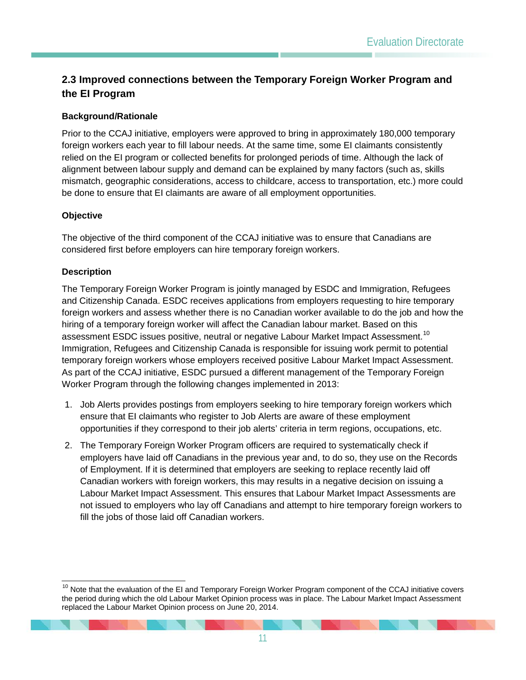## <span id="page-13-0"></span>**2.3 Improved connections between the Temporary Foreign Worker Program and the EI Program**

#### **Background/Rationale**

Prior to the CCAJ initiative, employers were approved to bring in approximately 180,000 temporary foreign workers each year to fill labour needs. At the same time, some EI claimants consistently relied on the EI program or collected benefits for prolonged periods of time. Although the lack of alignment between labour supply and demand can be explained by many factors (such as, skills mismatch, geographic considerations, access to childcare, access to transportation, etc.) more could be done to ensure that EI claimants are aware of all employment opportunities.

#### **Objective**

The objective of the third component of the CCAJ initiative was to ensure that Canadians are considered first before employers can hire temporary foreign workers.

#### **Description**

The Temporary Foreign Worker Program is jointly managed by ESDC and Immigration, Refugees and Citizenship Canada. ESDC receives applications from employers requesting to hire temporary foreign workers and assess whether there is no Canadian worker available to do the job and how the hiring of a temporary foreign worker will affect the Canadian labour market. Based on this assessment ESDC issues positive, neutral or negative Labour Market Impact Assessment.<sup>[10](#page-13-1)</sup> Immigration, Refugees and Citizenship Canada is responsible for issuing work permit to potential temporary foreign workers whose employers received positive Labour Market Impact Assessment. As part of the CCAJ initiative, ESDC pursued a different management of the Temporary Foreign Worker Program through the following changes implemented in 2013:

- 1. Job Alerts provides postings from employers seeking to hire temporary foreign workers which ensure that EI claimants who register to Job Alerts are aware of these employment opportunities if they correspond to their job alerts' criteria in term regions, occupations, etc.
- 2. The Temporary Foreign Worker Program officers are required to systematically check if employers have laid off Canadians in the previous year and, to do so, they use on the Records of Employment. If it is determined that employers are seeking to replace recently laid off Canadian workers with foreign workers, this may results in a negative decision on issuing a Labour Market Impact Assessment. This ensures that Labour Market Impact Assessments are not issued to employers who lay off Canadians and attempt to hire temporary foreign workers to fill the jobs of those laid off Canadian workers.

<span id="page-13-1"></span><sup>&</sup>lt;sup>10</sup> Note that the evaluation of the EI and Temporary Foreign Worker Program component of the CCAJ initiative covers the period during which the old Labour Market Opinion process was in place. The Labour Market Impact Assessment replaced the Labour Market Opinion process on June 20, 2014.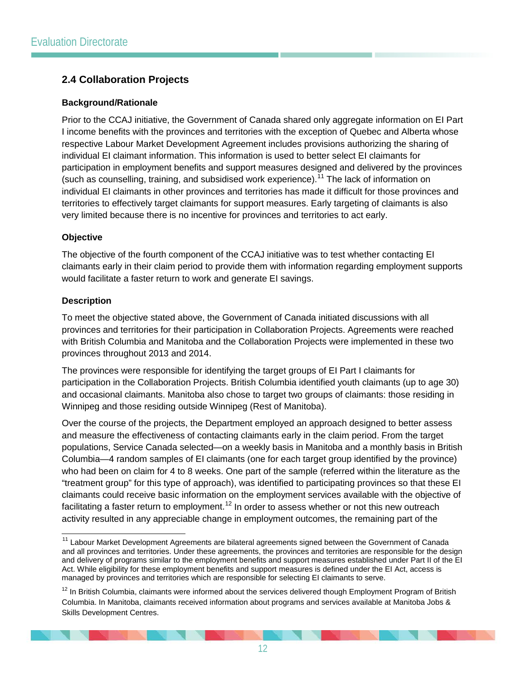## <span id="page-14-0"></span>**2.4 Collaboration Projects**

#### **Background/Rationale**

Prior to the CCAJ initiative, the Government of Canada shared only aggregate information on EI Part I income benefits with the provinces and territories with the exception of Quebec and Alberta whose respective Labour Market Development Agreement includes provisions authorizing the sharing of individual EI claimant information. This information is used to better select EI claimants for participation in employment benefits and support measures designed and delivered by the provinces (such as counselling, training, and subsidised work experience).<sup>[11](#page-14-1)</sup> The lack of information on individual EI claimants in other provinces and territories has made it difficult for those provinces and territories to effectively target claimants for support measures. Early targeting of claimants is also very limited because there is no incentive for provinces and territories to act early.

#### **Objective**

The objective of the fourth component of the CCAJ initiative was to test whether contacting EI claimants early in their claim period to provide them with information regarding employment supports would facilitate a faster return to work and generate EI savings.

#### **Description**

To meet the objective stated above, the Government of Canada initiated discussions with all provinces and territories for their participation in Collaboration Projects. Agreements were reached with British Columbia and Manitoba and the Collaboration Projects were implemented in these two provinces throughout 2013 and 2014.

The provinces were responsible for identifying the target groups of EI Part I claimants for participation in the Collaboration Projects. British Columbia identified youth claimants (up to age 30) and occasional claimants. Manitoba also chose to target two groups of claimants: those residing in Winnipeg and those residing outside Winnipeg (Rest of Manitoba).

Over the course of the projects, the Department employed an approach designed to better assess and measure the effectiveness of contacting claimants early in the claim period. From the target populations, Service Canada selected—on a weekly basis in Manitoba and a monthly basis in British Columbia—4 random samples of EI claimants (one for each target group identified by the province) who had been on claim for 4 to 8 weeks. One part of the sample (referred within the literature as the "treatment group" for this type of approach), was identified to participating provinces so that these EI claimants could receive basic information on the employment services available with the objective of facilitating a faster return to employment.<sup>[12](#page-14-2)</sup> In order to assess whether or not this new outreach activity resulted in any appreciable change in employment outcomes, the remaining part of the

<span id="page-14-1"></span><sup>&</sup>lt;sup>11</sup> Labour Market Development Agreements are bilateral agreements signed between the Government of Canada and all provinces and territories. Under these agreements, the provinces and territories are responsible for the design and delivery of programs similar to the employment benefits and support measures established under Part II of the EI Act. While eligibility for these employment benefits and support measures is defined under the EI Act, access is managed by provinces and territories which are responsible for selecting EI claimants to serve.

<span id="page-14-2"></span><sup>&</sup>lt;sup>12</sup> In British Columbia, claimants were informed about the services delivered though Employment Program of British Columbia. In Manitoba, claimants received information about programs and services available at Manitoba Jobs & Skills Development Centres.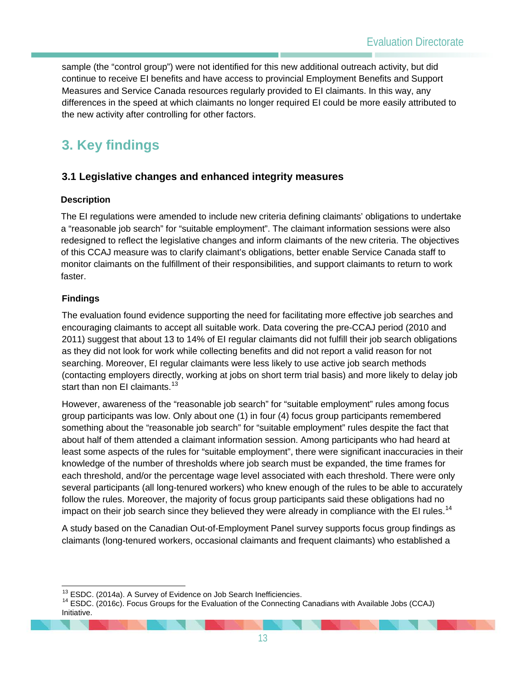sample (the "control group") were not identified for this new additional outreach activity, but did continue to receive EI benefits and have access to provincial Employment Benefits and Support Measures and Service Canada resources regularly provided to EI claimants. In this way, any differences in the speed at which claimants no longer required EI could be more easily attributed to the new activity after controlling for other factors.

# <span id="page-15-0"></span>**3. Key findings**

## <span id="page-15-1"></span>**3.1 Legislative changes and enhanced integrity measures**

#### **Description**

The EI regulations were amended to include new criteria defining claimants' obligations to undertake a "reasonable job search" for "suitable employment". The claimant information sessions were also redesigned to reflect the legislative changes and inform claimants of the new criteria. The objectives of this CCAJ measure was to clarify claimant's obligations, better enable Service Canada staff to monitor claimants on the fulfillment of their responsibilities, and support claimants to return to work faster.

#### **Findings**

The evaluation found evidence supporting the need for facilitating more effective job searches and encouraging claimants to accept all suitable work. Data covering the pre-CCAJ period (2010 and 2011) suggest that about 13 to 14% of EI regular claimants did not fulfill their job search obligations as they did not look for work while collecting benefits and did not report a valid reason for not searching. Moreover, EI regular claimants were less likely to use active job search methods (contacting employers directly, working at jobs on short term trial basis) and more likely to delay job start than non EI claimants.<sup>[13](#page-15-2)</sup>

However, awareness of the "reasonable job search" for "suitable employment" rules among focus group participants was low. Only about one (1) in four (4) focus group participants remembered something about the "reasonable job search" for "suitable employment" rules despite the fact that about half of them attended a claimant information session. Among participants who had heard at least some aspects of the rules for "suitable employment", there were significant inaccuracies in their knowledge of the number of thresholds where job search must be expanded, the time frames for each threshold, and/or the percentage wage level associated with each threshold. There were only several participants (all long-tenured workers) who knew enough of the rules to be able to accurately follow the rules. Moreover, the majority of focus group participants said these obligations had no impact on their job search since they believed they were already in compliance with the EI rules.<sup>[14](#page-15-3)</sup>

A study based on the Canadian Out-of-Employment Panel survey supports focus group findings as claimants (long-tenured workers, occasional claimants and frequent claimants) who established a

<span id="page-15-3"></span><span id="page-15-2"></span><sup>&</sup>lt;sup>13</sup> ESDC. (2014a). A Survey of Evidence on Job Search Inefficiencies.<br><sup>14</sup> ESDC. (2016c). Focus Groups for the Evaluation of the Connecting Canadians with Available Jobs (CCAJ) Initiative.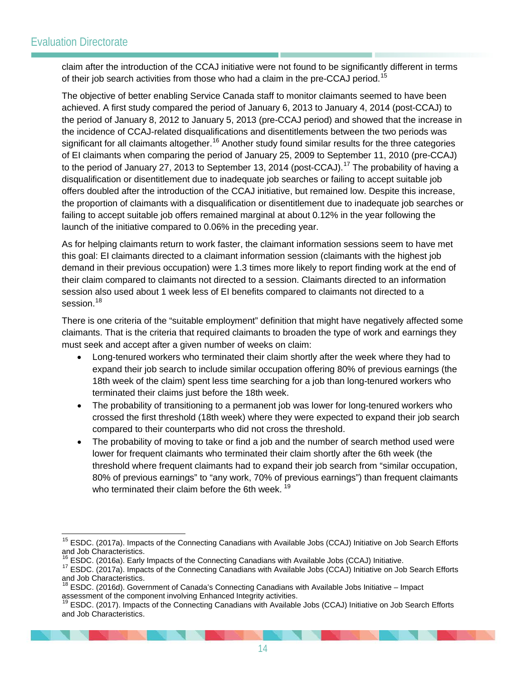claim after the introduction of the CCAJ initiative were not found to be significantly different in terms of their job search activities from those who had a claim in the pre-CCAJ period.<sup>[15](#page-16-0)</sup>

The objective of better enabling Service Canada staff to monitor claimants seemed to have been achieved. A first study compared the period of January 6, 2013 to January 4, 2014 (post-CCAJ) to the period of January 8, 2012 to January 5, 2013 (pre-CCAJ period) and showed that the increase in the incidence of CCAJ-related disqualifications and disentitlements between the two periods was significant for all claimants altogether.<sup>[16](#page-16-1)</sup> Another study found similar results for the three categories of EI claimants when comparing the period of January 25, 2009 to September 11, 2010 (pre-CCAJ) to the period of January 27, 2013 to September 13, 2014 (post-CCAJ).<sup>[17](#page-16-2)</sup> The probability of having a disqualification or disentitlement due to inadequate job searches or failing to accept suitable job offers doubled after the introduction of the CCAJ initiative, but remained low. Despite this increase, the proportion of claimants with a disqualification or disentitlement due to inadequate job searches or failing to accept suitable job offers remained marginal at about 0.12% in the year following the launch of the initiative compared to 0.06% in the preceding year.

As for helping claimants return to work faster, the claimant information sessions seem to have met this goal: EI claimants directed to a claimant information session (claimants with the highest job demand in their previous occupation) were 1.3 times more likely to report finding work at the end of their claim compared to claimants not directed to a session. Claimants directed to an information session also used about 1 week less of EI benefits compared to claimants not directed to a session.<sup>[18](#page-16-3)</sup>

There is one criteria of the "suitable employment" definition that might have negatively affected some claimants. That is the criteria that required claimants to broaden the type of work and earnings they must seek and accept after a given number of weeks on claim:

- Long-tenured workers who terminated their claim shortly after the week where they had to expand their job search to include similar occupation offering 80% of previous earnings (the 18th week of the claim) spent less time searching for a job than long-tenured workers who terminated their claims just before the 18th week.
- The probability of transitioning to a permanent job was lower for long-tenured workers who crossed the first threshold (18th week) where they were expected to expand their job search compared to their counterparts who did not cross the threshold.
- The probability of moving to take or find a job and the number of search method used were lower for frequent claimants who terminated their claim shortly after the 6th week (the threshold where frequent claimants had to expand their job search from "similar occupation, 80% of previous earnings" to "any work, 70% of previous earnings") than frequent claimants who terminated their claim before the 6th week.<sup>[19](#page-16-4)</sup>

<span id="page-16-0"></span><sup>&</sup>lt;sup>15</sup> ESDC. (2017a). Impacts of the Connecting Canadians with Available Jobs (CCAJ) Initiative on Job Search Efforts and Job Characteristics.<br><sup>16</sup> ESDC. (2016a). Early Impacts of the Connecting Canadians with Available Jobs (CCAJ) Initiative.

<span id="page-16-2"></span><span id="page-16-1"></span><sup>17</sup> ESDC. (2017a). Impacts of the Connecting Canadians with Available Jobs (CCAJ) Initiative on Job Search Efforts and Job Characteristics.

<span id="page-16-3"></span> $18$  ESDC. (2016d). Government of Canada's Connecting Canadians with Available Jobs Initiative – Impact assessment of the component involving Enhanced Integrity activities.

<span id="page-16-4"></span><sup>&</sup>lt;sup>19</sup> ESDC. (2017). Impacts of the Connecting Canadians with Available Jobs (CCAJ) Initiative on Job Search Efforts and Job Characteristics.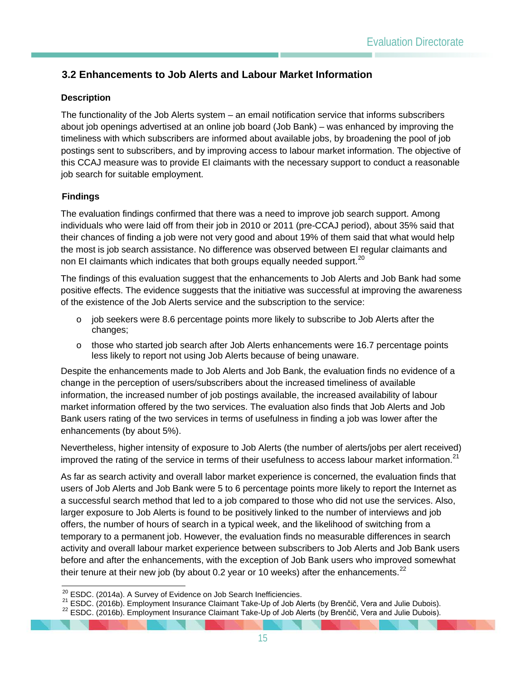## <span id="page-17-0"></span>**3.2 Enhancements to Job Alerts and Labour Market Information**

#### **Description**

The functionality of the Job Alerts system – an email notification service that informs subscribers about job openings advertised at an online job board (Job Bank) – was enhanced by improving the timeliness with which subscribers are informed about available jobs, by broadening the pool of job postings sent to subscribers, and by improving access to labour market information. The objective of this CCAJ measure was to provide EI claimants with the necessary support to conduct a reasonable job search for suitable employment.

#### **Findings**

The evaluation findings confirmed that there was a need to improve job search support. Among individuals who were laid off from their job in 2010 or 2011 (pre-CCAJ period), about 35% said that their chances of finding a job were not very good and about 19% of them said that what would help the most is job search assistance. No difference was observed between EI regular claimants and non EI claimants which indicates that both groups equally needed support.<sup>[20](#page-17-1)</sup>

The findings of this evaluation suggest that the enhancements to Job Alerts and Job Bank had some positive effects. The evidence suggests that the initiative was successful at improving the awareness of the existence of the Job Alerts service and the subscription to the service:

- $\circ$  job seekers were 8.6 percentage points more likely to subscribe to Job Alerts after the changes;
- o those who started job search after Job Alerts enhancements were 16.7 percentage points less likely to report not using Job Alerts because of being unaware.

Despite the enhancements made to Job Alerts and Job Bank, the evaluation finds no evidence of a change in the perception of users/subscribers about the increased timeliness of available information, the increased number of job postings available, the increased availability of labour market information offered by the two services. The evaluation also finds that Job Alerts and Job Bank users rating of the two services in terms of usefulness in finding a job was lower after the enhancements (by about 5%).

Nevertheless, higher intensity of exposure to Job Alerts (the number of alerts/jobs per alert received) improved the rating of the service in terms of their usefulness to access labour market information.<sup>[21](#page-17-2)</sup>

As far as search activity and overall labor market experience is concerned, the evaluation finds that users of Job Alerts and Job Bank were 5 to 6 percentage points more likely to report the Internet as a successful search method that led to a job compared to those who did not use the services. Also, larger exposure to Job Alerts is found to be positively linked to the number of interviews and job offers, the number of hours of search in a typical week, and the likelihood of switching from a temporary to a permanent job. However, the evaluation finds no measurable differences in search activity and overall labour market experience between subscribers to Job Alerts and Job Bank users before and after the enhancements, with the exception of Job Bank users who improved somewhat their tenure at their new job (by about 0.2 year or 10 weeks) after the enhancements. $2^2$ 

<span id="page-17-1"></span><sup>&</sup>lt;sup>20</sup> ESDC. (2014a). A Survey of Evidence on Job Search Inefficiencies.<br><sup>21</sup> ESDC. (2016b). Employment Insurance Claimant Take-Up of Job Alerts (by Brenčič, Vera and Julie Dubois).<br><sup>22</sup> ESDC. (2016b). Employment Insurance C

<span id="page-17-3"></span><span id="page-17-2"></span>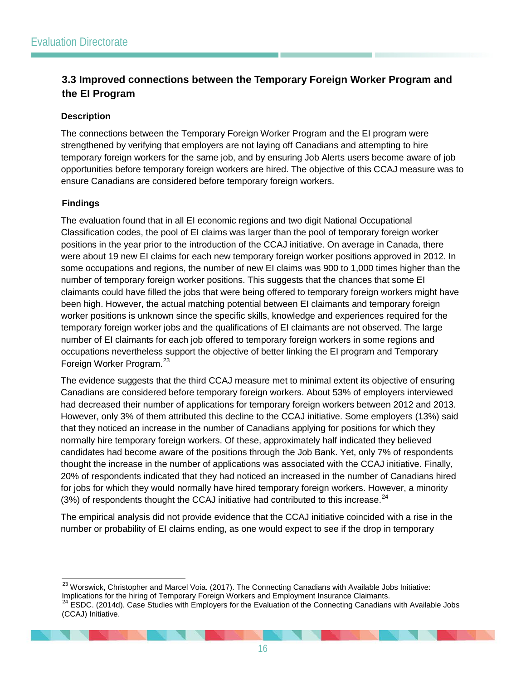## <span id="page-18-0"></span>**3.3 Improved connections between the Temporary Foreign Worker Program and the EI Program**

#### **Description**

The connections between the Temporary Foreign Worker Program and the EI program were strengthened by verifying that employers are not laying off Canadians and attempting to hire temporary foreign workers for the same job, and by ensuring Job Alerts users become aware of job opportunities before temporary foreign workers are hired. The objective of this CCAJ measure was to ensure Canadians are considered before temporary foreign workers.

#### **Findings**

The evaluation found that in all EI economic regions and two digit National Occupational Classification codes, the pool of EI claims was larger than the pool of temporary foreign worker positions in the year prior to the introduction of the CCAJ initiative. On average in Canada, there were about 19 new EI claims for each new temporary foreign worker positions approved in 2012. In some occupations and regions, the number of new EI claims was 900 to 1,000 times higher than the number of temporary foreign worker positions. This suggests that the chances that some EI claimants could have filled the jobs that were being offered to temporary foreign workers might have been high. However, the actual matching potential between EI claimants and temporary foreign worker positions is unknown since the specific skills, knowledge and experiences required for the temporary foreign worker jobs and the qualifications of EI claimants are not observed. The large number of EI claimants for each job offered to temporary foreign workers in some regions and occupations nevertheless support the objective of better linking the EI program and Temporary Foreign Worker Program.<sup>[23](#page-18-1)</sup>

The evidence suggests that the third CCAJ measure met to minimal extent its objective of ensuring Canadians are considered before temporary foreign workers. About 53% of employers interviewed had decreased their number of applications for temporary foreign workers between 2012 and 2013. However, only 3% of them attributed this decline to the CCAJ initiative. Some employers (13%) said that they noticed an increase in the number of Canadians applying for positions for which they normally hire temporary foreign workers. Of these, approximately half indicated they believed candidates had become aware of the positions through the Job Bank. Yet, only 7% of respondents thought the increase in the number of applications was associated with the CCAJ initiative. Finally, 20% of respondents indicated that they had noticed an increased in the number of Canadians hired for jobs for which they would normally have hired temporary foreign workers. However, a minority  $(3%)$  of respondents thought the CCAJ initiative had contributed to this increase.<sup>[24](#page-18-2)</sup>

The empirical analysis did not provide evidence that the CCAJ initiative coincided with a rise in the number or probability of EI claims ending, as one would expect to see if the drop in temporary

<span id="page-18-1"></span><sup>&</sup>lt;sup>23</sup> Worswick, Christopher and Marcel Voia. (2017). The Connecting Canadians with Available Jobs Initiative: Implications for the hiring of Temporary Foreign Workers and Employment Insurance Claimants.<br><sup>24</sup> ESDC. (2014d). Case Studies with Employers for the Evaluation of the Connecting Canadians with Available Jobs

<span id="page-18-2"></span><sup>(</sup>CCAJ) Initiative.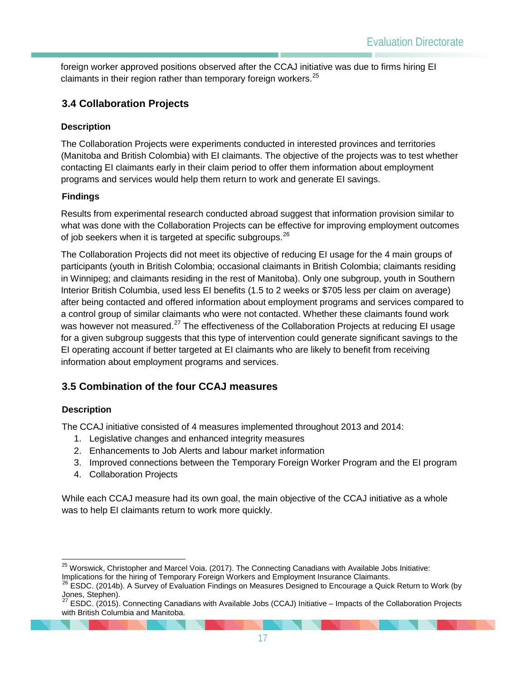foreign worker approved positions observed after the CCAJ initiative was due to firms hiring EI claimants in their region rather than temporary foreign workers.<sup>[25](#page-19-2)</sup>

### <span id="page-19-0"></span>**3.4 Collaboration Projects**

#### **Description**

The Collaboration Projects were experiments conducted in interested provinces and territories (Manitoba and British Colombia) with EI claimants. The objective of the projects was to test whether contacting EI claimants early in their claim period to offer them information about employment programs and services would help them return to work and generate EI savings.

#### **Findings**

Results from experimental research conducted abroad suggest that information provision similar to what was done with the Collaboration Projects can be effective for improving employment outcomes of job seekers when it is targeted at specific subgroups.<sup>[26](#page-19-3)</sup>

The Collaboration Projects did not meet its objective of reducing EI usage for the 4 main groups of participants (youth in British Colombia; occasional claimants in British Colombia; claimants residing in Winnipeg; and claimants residing in the rest of Manitoba). Only one subgroup, youth in Southern Interior British Columbia, used less EI benefits (1.5 to 2 weeks or \$705 less per claim on average) after being contacted and offered information about employment programs and services compared to a control group of similar claimants who were not contacted. Whether these claimants found work was however not measured.<sup>[27](#page-19-4)</sup> The effectiveness of the Collaboration Projects at reducing EI usage for a given subgroup suggests that this type of intervention could generate significant savings to the EI operating account if better targeted at EI claimants who are likely to benefit from receiving information about employment programs and services.

## <span id="page-19-1"></span>**3.5 Combination of the four CCAJ measures**

#### **Description**

The CCAJ initiative consisted of 4 measures implemented throughout 2013 and 2014:

- 1. Legislative changes and enhanced integrity measures
- 2. Enhancements to Job Alerts and labour market information
- 3. Improved connections between the Temporary Foreign Worker Program and the EI program
- 4. Collaboration Projects

While each CCAJ measure had its own goal, the main objective of the CCAJ initiative as a whole was to help EI claimants return to work more quickly.

<span id="page-19-2"></span><sup>&</sup>lt;sup>25</sup> Worswick, Christopher and Marcel Voia. (2017). The Connecting Canadians with Available Jobs Initiative:

Implications for the hiring of Temporary Foreign Workers and Employment Insurance Claimants.

<span id="page-19-3"></span><sup>&</sup>lt;sup>26</sup> ESDC. (2014b). A Survey of Evaluation Findings on Measures Designed to Encourage a Quick Return to Work (by Jones, Stephen). <sup>27</sup> ESDC. (2015). Connecting Canadians with Available Jobs (CCAJ) Initiative – Impacts of the Collaboration Projects

<span id="page-19-4"></span>with British Columbia and Manitoba.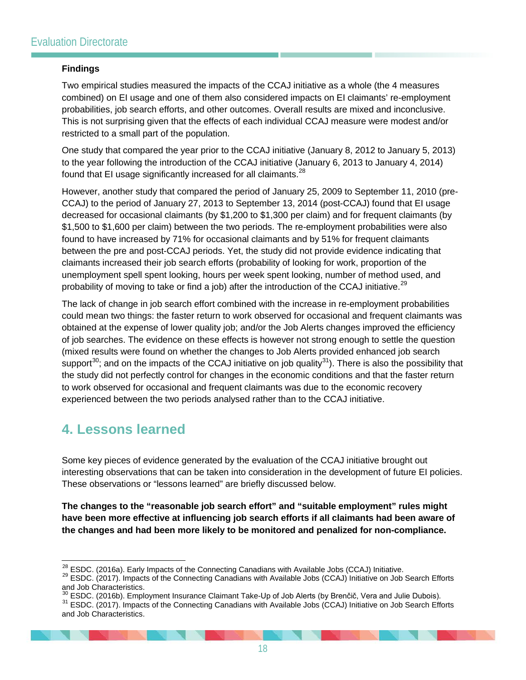#### **Findings**

Two empirical studies measured the impacts of the CCAJ initiative as a whole (the 4 measures combined) on EI usage and one of them also considered impacts on EI claimants' re-employment probabilities, job search efforts, and other outcomes. Overall results are mixed and inconclusive. This is not surprising given that the effects of each individual CCAJ measure were modest and/or restricted to a small part of the population.

One study that compared the year prior to the CCAJ initiative (January 8, 2012 to January 5, 2013) to the year following the introduction of the CCAJ initiative (January 6, 2013 to January 4, 2014) found that EI usage significantly increased for all claimants.<sup>[28](#page-20-1)</sup>

However, another study that compared the period of January 25, 2009 to September 11, 2010 (pre-CCAJ) to the period of January 27, 2013 to September 13, 2014 (post-CCAJ) found that EI usage decreased for occasional claimants (by \$1,200 to \$1,300 per claim) and for frequent claimants (by \$1,500 to \$1,600 per claim) between the two periods. The re-employment probabilities were also found to have increased by 71% for occasional claimants and by 51% for frequent claimants between the pre and post-CCAJ periods. Yet, the study did not provide evidence indicating that claimants increased their job search efforts (probability of looking for work, proportion of the unemployment spell spent looking, hours per week spent looking, number of method used, and probability of moving to take or find a job) after the introduction of the CCAJ initiative.<sup>[29](#page-20-2)</sup>

The lack of change in job search effort combined with the increase in re-employment probabilities could mean two things: the faster return to work observed for occasional and frequent claimants was obtained at the expense of lower quality job; and/or the Job Alerts changes improved the efficiency of job searches. The evidence on these effects is however not strong enough to settle the question (mixed results were found on whether the changes to Job Alerts provided enhanced job search support<sup>[30](#page-20-3)</sup>; and on the impacts of the CCAJ initiative on job quality<sup>31</sup>). There is also the possibility that the study did not perfectly control for changes in the economic conditions and that the faster return to work observed for occasional and frequent claimants was due to the economic recovery experienced between the two periods analysed rather than to the CCAJ initiative.

## <span id="page-20-0"></span>**4. Lessons learned**

Some key pieces of evidence generated by the evaluation of the CCAJ initiative brought out interesting observations that can be taken into consideration in the development of future EI policies. These observations or "lessons learned" are briefly discussed below.

**The changes to the "reasonable job search effort" and "suitable employment" rules might have been more effective at influencing job search efforts if all claimants had been aware of the changes and had been more likely to be monitored and penalized for non-compliance.** 

<span id="page-20-2"></span><span id="page-20-1"></span><sup>&</sup>lt;sup>28</sup> ESDC. (2016a). Early Impacts of the Connecting Canadians with Available Jobs (CCAJ) Initiative.<br><sup>29</sup> ESDC. (2017). Impacts of the Connecting Canadians with Available Jobs (CCAJ) Initiative on Job Search Efforts and Job Characteristics.<br><sup>30</sup> ESDC. (2016b). Employment Insurance Claimant Take-Up of Job Alerts (by Brenčič, Vera and Julie Dubois).

<span id="page-20-4"></span><span id="page-20-3"></span><sup>&</sup>lt;sup>31</sup> ESDC. (2017). Impacts of the Connecting Canadians with Available Jobs (CCAJ) Initiative on Job Search Efforts and Job Characteristics.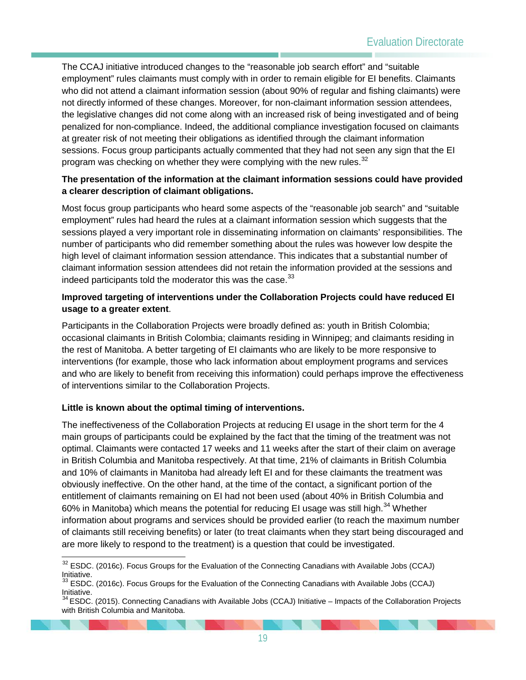The CCAJ initiative introduced changes to the "reasonable job search effort" and "suitable employment" rules claimants must comply with in order to remain eligible for EI benefits. Claimants who did not attend a claimant information session (about 90% of regular and fishing claimants) were not directly informed of these changes. Moreover, for non-claimant information session attendees, the legislative changes did not come along with an increased risk of being investigated and of being penalized for non-compliance. Indeed, the additional compliance investigation focused on claimants at greater risk of not meeting their obligations as identified through the claimant information sessions. Focus group participants actually commented that they had not seen any sign that the EI program was checking on whether they were complying with the new rules.<sup>[32](#page-21-0)</sup>

#### **The presentation of the information at the claimant information sessions could have provided a clearer description of claimant obligations.**

Most focus group participants who heard some aspects of the "reasonable job search" and "suitable employment" rules had heard the rules at a claimant information session which suggests that the sessions played a very important role in disseminating information on claimants' responsibilities. The number of participants who did remember something about the rules was however low despite the high level of claimant information session attendance. This indicates that a substantial number of claimant information session attendees did not retain the information provided at the sessions and indeed participants told the moderator this was the case.  $33$ 

#### **Improved targeting of interventions under the Collaboration Projects could have reduced EI usage to a greater extent**.

Participants in the Collaboration Projects were broadly defined as: youth in British Colombia; occasional claimants in British Colombia; claimants residing in Winnipeg; and claimants residing in the rest of Manitoba. A better targeting of EI claimants who are likely to be more responsive to interventions (for example, those who lack information about employment programs and services and who are likely to benefit from receiving this information) could perhaps improve the effectiveness of interventions similar to the Collaboration Projects.

#### **Little is known about the optimal timing of interventions.**

The ineffectiveness of the Collaboration Projects at reducing EI usage in the short term for the 4 main groups of participants could be explained by the fact that the timing of the treatment was not optimal. Claimants were contacted 17 weeks and 11 weeks after the start of their claim on average in British Columbia and Manitoba respectively. At that time, 21% of claimants in British Columbia and 10% of claimants in Manitoba had already left EI and for these claimants the treatment was obviously ineffective. On the other hand, at the time of the contact, a significant portion of the entitlement of claimants remaining on EI had not been used (about 40% in British Columbia and 60% in Manitoba) which means the potential for reducing EI usage was still high.<sup>[34](#page-21-2)</sup> Whether information about programs and services should be provided earlier (to reach the maximum number of claimants still receiving benefits) or later (to treat claimants when they start being discouraged and are more likely to respond to the treatment) is a question that could be investigated.

<span id="page-21-0"></span> $32$  ESDC. (2016c). Focus Groups for the Evaluation of the Connecting Canadians with Available Jobs (CCAJ) Initiative.

<span id="page-21-1"></span> $33$  ESDC. (2016c). Focus Groups for the Evaluation of the Connecting Canadians with Available Jobs (CCAJ) Initiative.

<span id="page-21-2"></span><sup>34</sup> ESDC. (2015). Connecting Canadians with Available Jobs (CCAJ) Initiative – Impacts of the Collaboration Projects with British Columbia and Manitoba.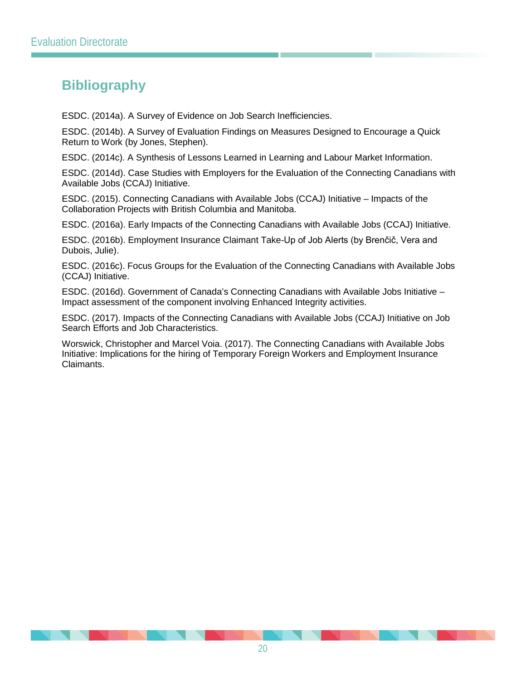# <span id="page-22-0"></span>**Bibliography**

ESDC. (2014a). A Survey of Evidence on Job Search Inefficiencies.

ESDC. (2014b). A Survey of Evaluation Findings on Measures Designed to Encourage a Quick Return to Work (by Jones, Stephen).

ESDC. (2014c). A Synthesis of Lessons Learned in Learning and Labour Market Information.

ESDC. (2014d). Case Studies with Employers for the Evaluation of the Connecting Canadians with Available Jobs (CCAJ) Initiative.

ESDC. (2015). Connecting Canadians with Available Jobs (CCAJ) Initiative – Impacts of the Collaboration Projects with British Columbia and Manitoba.

ESDC. (2016a). Early Impacts of the Connecting Canadians with Available Jobs (CCAJ) Initiative.

ESDC. (2016b). Employment Insurance Claimant Take-Up of Job Alerts (by Brenčič, Vera and Dubois, Julie).

ESDC. (2016c). Focus Groups for the Evaluation of the Connecting Canadians with Available Jobs (CCAJ) Initiative.

ESDC. (2016d). Government of Canada's Connecting Canadians with Available Jobs Initiative – Impact assessment of the component involving Enhanced Integrity activities.

ESDC. (2017). Impacts of the Connecting Canadians with Available Jobs (CCAJ) Initiative on Job Search Efforts and Job Characteristics.

Worswick, Christopher and Marcel Voia. (2017). The Connecting Canadians with Available Jobs Initiative: Implications for the hiring of Temporary Foreign Workers and Employment Insurance Claimants.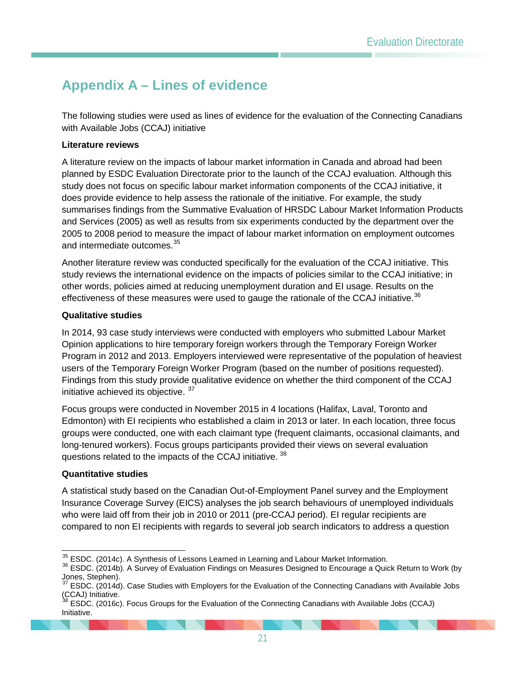# <span id="page-23-0"></span>**Appendix A – Lines of evidence**

The following studies were used as lines of evidence for the evaluation of the Connecting Canadians with Available Jobs (CCAJ) initiative

#### **Literature reviews**

A literature review on the impacts of labour market information in Canada and abroad had been planned by ESDC Evaluation Directorate prior to the launch of the CCAJ evaluation. Although this study does not focus on specific labour market information components of the CCAJ initiative, it does provide evidence to help assess the rationale of the initiative. For example, the study summarises findings from the Summative Evaluation of HRSDC Labour Market Information Products and Services (2005) as well as results from six experiments conducted by the department over the 2005 to 2008 period to measure the impact of labour market information on employment outcomes and intermediate outcomes.<sup>[35](#page-23-1)</sup>

Another literature review was conducted specifically for the evaluation of the CCAJ initiative. This study reviews the international evidence on the impacts of policies similar to the CCAJ initiative; in other words, policies aimed at reducing unemployment duration and EI usage. Results on the effectiveness of these measures were used to gauge the rationale of the CCAJ initiative.<sup>[36](#page-23-2)</sup>

#### **Qualitative studies**

In 2014, 93 case study interviews were conducted with employers who submitted Labour Market Opinion applications to hire temporary foreign workers through the Temporary Foreign Worker Program in 2012 and 2013. Employers interviewed were representative of the population of heaviest users of the Temporary Foreign Worker Program (based on the number of positions requested). Findings from this study provide qualitative evidence on whether the third component of the CCAJ initiative achieved its objective. <sup>[37](#page-23-3)</sup>

Focus groups were conducted in November 2015 in 4 locations (Halifax, Laval, Toronto and Edmonton) with EI recipients who established a claim in 2013 or later. In each location, three focus groups were conducted, one with each claimant type (frequent claimants, occasional claimants, and long-tenured workers). Focus groups participants provided their views on several evaluation questions related to the impacts of the CCAJ initiative.<sup>[38](#page-23-4)</sup>

#### **Quantitative studies**

A statistical study based on the Canadian Out-of-Employment Panel survey and the Employment Insurance Coverage Survey (EICS) analyses the job search behaviours of unemployed individuals who were laid off from their job in 2010 or 2011 (pre-CCAJ period). EI regular recipients are compared to non EI recipients with regards to several job search indicators to address a question

<span id="page-23-2"></span><span id="page-23-1"></span><sup>&</sup>lt;sup>35</sup> ESDC. (2014c). A Synthesis of Lessons Learned in Learning and Labour Market Information.<br><sup>36</sup> ESDC. (2014b). A Survey of Evaluation Findings on Measures Designed to Encourage a Quick Return to Work (by Jones, Stephen).<br> $37$  ECDC

<span id="page-23-3"></span><sup>37</sup> ESDC. (2014d). Case Studies with Employers for the Evaluation of the Connecting Canadians with Available Jobs  $(CCAJ)$  Initiative.

<span id="page-23-4"></span>ESDC. (2016c). Focus Groups for the Evaluation of the Connecting Canadians with Available Jobs (CCAJ) Initiative.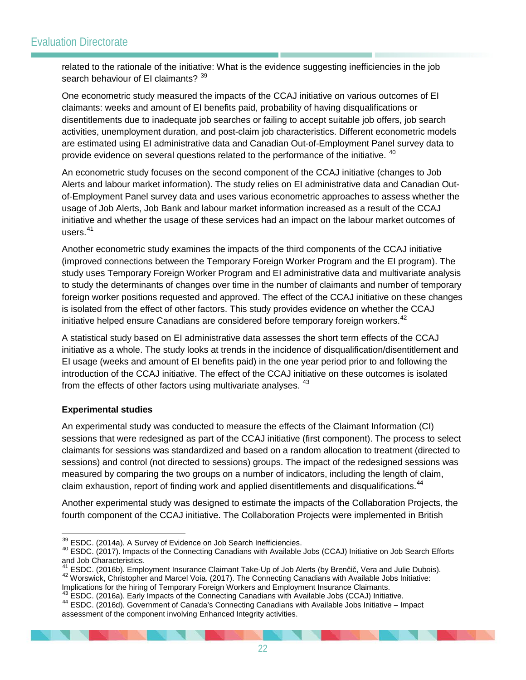related to the rationale of the initiative: What is the evidence suggesting inefficiencies in the job search behaviour of EI claimants? [39](#page-24-0)

One econometric study measured the impacts of the CCAJ initiative on various outcomes of EI claimants: weeks and amount of EI benefits paid, probability of having disqualifications or disentitlements due to inadequate job searches or failing to accept suitable job offers, job search activities, unemployment duration, and post-claim job characteristics. Different econometric models are estimated using EI administrative data and Canadian Out-of-Employment Panel survey data to provide evidence on several questions related to the performance of the initiative. <sup>[40](#page-24-1)</sup>

An econometric study focuses on the second component of the CCAJ initiative (changes to Job Alerts and labour market information). The study relies on EI administrative data and Canadian Outof-Employment Panel survey data and uses various econometric approaches to assess whether the usage of Job Alerts, Job Bank and labour market information increased as a result of the CCAJ initiative and whether the usage of these services had an impact on the labour market outcomes of users $41$ 

Another econometric study examines the impacts of the third components of the CCAJ initiative (improved connections between the Temporary Foreign Worker Program and the EI program). The study uses Temporary Foreign Worker Program and EI administrative data and multivariate analysis to study the determinants of changes over time in the number of claimants and number of temporary foreign worker positions requested and approved. The effect of the CCAJ initiative on these changes is isolated from the effect of other factors. This study provides evidence on whether the CCAJ initiative helped ensure Canadians are considered before temporary foreign workers.<sup>[42](#page-24-3)</sup>

A statistical study based on EI administrative data assesses the short term effects of the CCAJ initiative as a whole. The study looks at trends in the incidence of disqualification/disentitlement and EI usage (weeks and amount of EI benefits paid) in the one year period prior to and following the introduction of the CCAJ initiative. The effect of the CCAJ initiative on these outcomes is isolated from the effects of other factors using multivariate analyses. <sup>[43](#page-24-4)</sup>

#### **Experimental studies**

An experimental study was conducted to measure the effects of the Claimant Information (CI) sessions that were redesigned as part of the CCAJ initiative (first component). The process to select claimants for sessions was standardized and based on a random allocation to treatment (directed to sessions) and control (not directed to sessions) groups. The impact of the redesigned sessions was measured by comparing the two groups on a number of indicators, including the length of claim, claim exhaustion, report of finding work and applied disentitlements and disqualifications.<sup>[44](#page-24-5)</sup>

Another experimental study was designed to estimate the impacts of the Collaboration Projects, the fourth component of the CCAJ initiative. The Collaboration Projects were implemented in British

<span id="page-24-4"></span><span id="page-24-3"></span>Implications for the hiring of Temporary Foreign Workers and Employment Insurance Claimants.<br><sup>43</sup> ESDC. (2016a). Early Impacts of the Connecting Canadians with Available Jobs (CCAJ) Initiative.

<span id="page-24-1"></span><span id="page-24-0"></span> $39$  ESDC. (2014a). A Survey of Evidence on Job Search Inefficiencies.<br><sup>40</sup> ESDC. (2017). Impacts of the Connecting Canadians with Available Jobs (CCAJ) Initiative on Job Search Efforts and Job Characteristics.<br><sup>41</sup> ESDC. (2016b). Employment Insurance Claimant Take-Up of Job Alerts (by Brenčič. Vera and Julie Dubois).

<span id="page-24-2"></span><sup>42</sup> Worswick, Christopher and Marcel Voia. (2017). The Connecting Canadians with Available Jobs Initiative:

<span id="page-24-5"></span><sup>44</sup> ESDC. (2016d). Government of Canada's Connecting Canadians with Available Jobs Initiative – Impact assessment of the component involving Enhanced Integrity activities.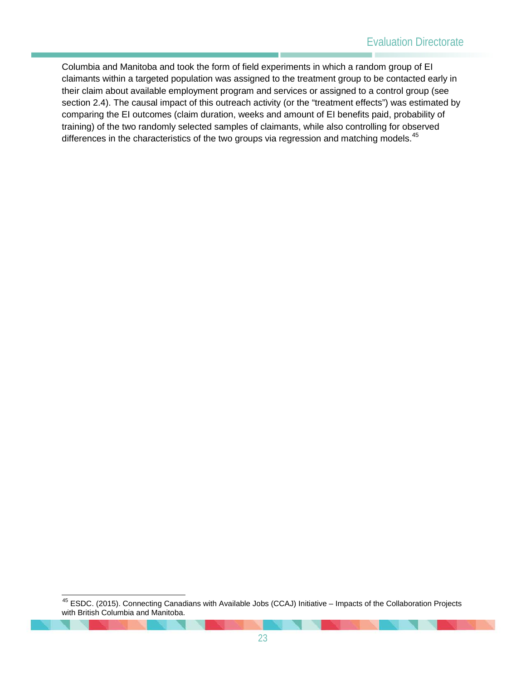Columbia and Manitoba and took the form of field experiments in which a random group of EI claimants within a targeted population was assigned to the treatment group to be contacted early in their claim about available employment program and services or assigned to a control group (see section 2.4). The causal impact of this outreach activity (or the "treatment effects") was estimated by comparing the EI outcomes (claim duration, weeks and amount of EI benefits paid, probability of training) of the two randomly selected samples of claimants, while also controlling for observed differences in the characteristics of the two groups via regression and matching models.<sup>[45](#page-25-0)</sup>

<span id="page-25-0"></span> <sup>45</sup> ESDC. (2015). Connecting Canadians with Available Jobs (CCAJ) Initiative – Impacts of the Collaboration Projects with British Columbia and Manitoba.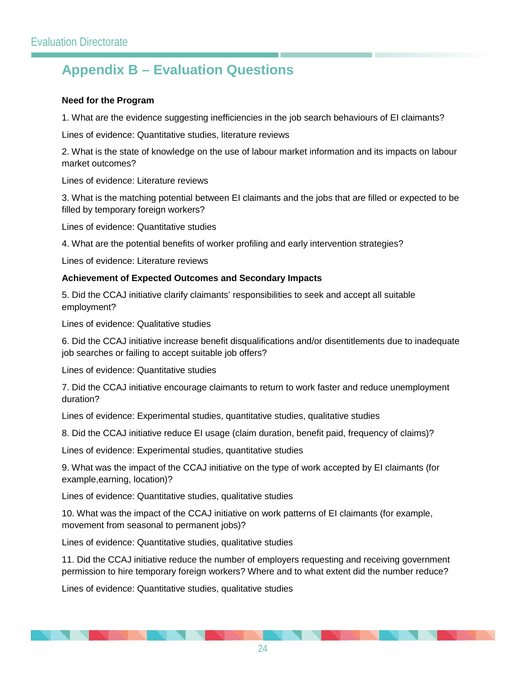# <span id="page-26-0"></span>**Appendix B – Evaluation Questions**

#### **Need for the Program**

1. What are the evidence suggesting inefficiencies in the job search behaviours of EI claimants?

Lines of evidence: Quantitative studies, literature reviews

2. What is the state of knowledge on the use of labour market information and its impacts on labour market outcomes?

Lines of evidence: Literature reviews

3. What is the matching potential between EI claimants and the jobs that are filled or expected to be filled by temporary foreign workers?

Lines of evidence: Quantitative studies

4. What are the potential benefits of worker profiling and early intervention strategies?

Lines of evidence: Literature reviews

#### **Achievement of Expected Outcomes and Secondary Impacts**

5. Did the CCAJ initiative clarify claimants' responsibilities to seek and accept all suitable employment?

Lines of evidence: Qualitative studies

6. Did the CCAJ initiative increase benefit disqualifications and/or disentitlements due to inadequate job searches or failing to accept suitable job offers?

Lines of evidence: Quantitative studies

7. Did the CCAJ initiative encourage claimants to return to work faster and reduce unemployment duration?

Lines of evidence: Experimental studies, quantitative studies, qualitative studies

8. Did the CCAJ initiative reduce EI usage (claim duration, benefit paid, frequency of claims)?

Lines of evidence: Experimental studies, quantitative studies

9. What was the impact of the CCAJ initiative on the type of work accepted by EI claimants (for example,earning, location)?

Lines of evidence: Quantitative studies, qualitative studies

10. What was the impact of the CCAJ initiative on work patterns of EI claimants (for example, movement from seasonal to permanent jobs)?

Lines of evidence: Quantitative studies, qualitative studies

11. Did the CCAJ initiative reduce the number of employers requesting and receiving government permission to hire temporary foreign workers? Where and to what extent did the number reduce?

Lines of evidence: Quantitative studies, qualitative studies